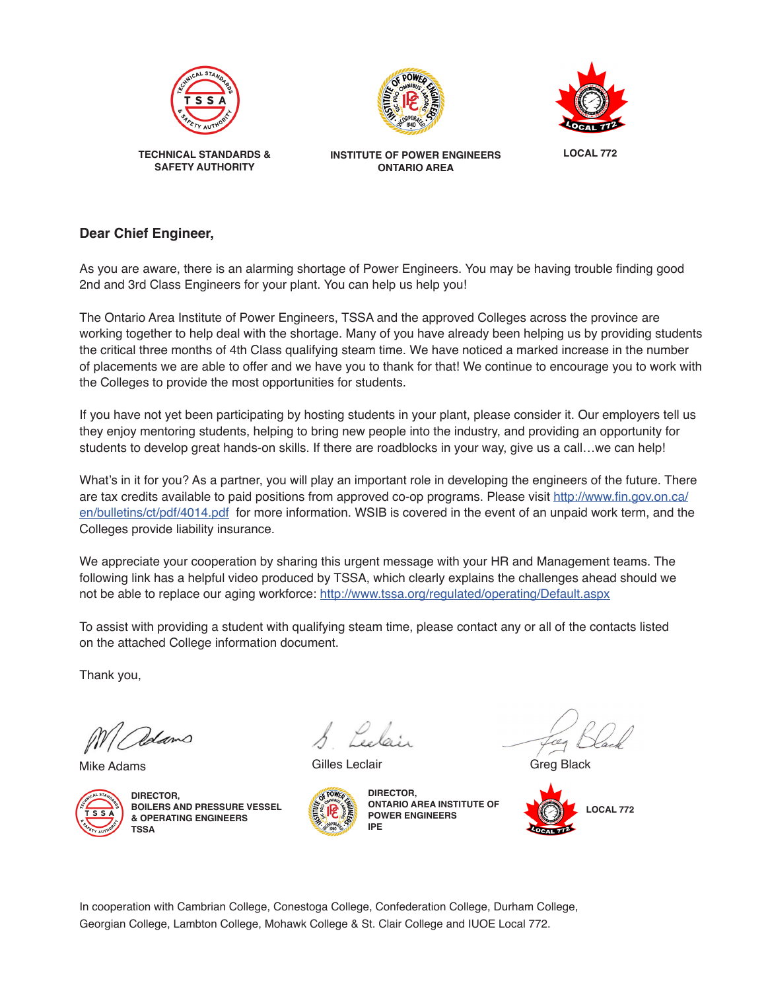





**INSTITUTE OF POWER ENGINEERS ONTARIO AREA**

**LOCAL 772**

## **Dear Chief Engineer,**

As you are aware, there is an alarming shortage of Power Engineers. You may be having trouble finding good 2nd and 3rd Class Engineers for your plant. You can help us help you!

The Ontario Area Institute of Power Engineers, TSSA and the approved Colleges across the province are working together to help deal with the shortage. Many of you have already been helping us by providing students the critical three months of 4th Class qualifying steam time. We have noticed a marked increase in the number of placements we are able to offer and we have you to thank for that! We continue to encourage you to work with the Colleges to provide the most opportunities for students.

If you have not yet been participating by hosting students in your plant, please consider it. Our employers tell us they enjoy mentoring students, helping to bring new people into the industry, and providing an opportunity for students to develop great hands-on skills. If there are roadblocks in your way, give us a call…we can help!

What's in it for you? As a partner, you will play an important role in developing the engineers of the future. There are tax credits available to paid positions from approved co-op programs. Please visit [http://www.fin.gov.on.ca/](http://www.fin.gov.on.ca/en/bulletins/ct/pdf/4014.pdf) [en/bulletins/ct/pdf/4014.pdf](http://www.fin.gov.on.ca/en/bulletins/ct/pdf/4014.pdf) for more information. WSIB is covered in the event of an unpaid work term, and the Colleges provide liability insurance.

We appreciate your cooperation by sharing this urgent message with your HR and Management teams. The following link has a helpful video produced by TSSA, which clearly explains the challenges ahead should we not be able to replace our aging workforce: <http://www.tssa.org/regulated/operating/Default.aspx>

To assist with providing a student with qualifying steam time, please contact any or all of the contacts listed on the attached College information document.

Thank you,

Mike Adams



**DIRECTOR, BOILERS AND PRESSURE VESSEL & OPERATING ENGINEERS TSSA**



Gilles Leclair



**DIRECTOR, ONTARIO AREA INSTITUTE OF POWER ENGINEERS IPE**

Greg Black



In cooperation with Cambrian College, Conestoga College, Confederation College, Durham College, Georgian College, Lambton College, Mohawk College & St. Clair College and IUOE Local 772.